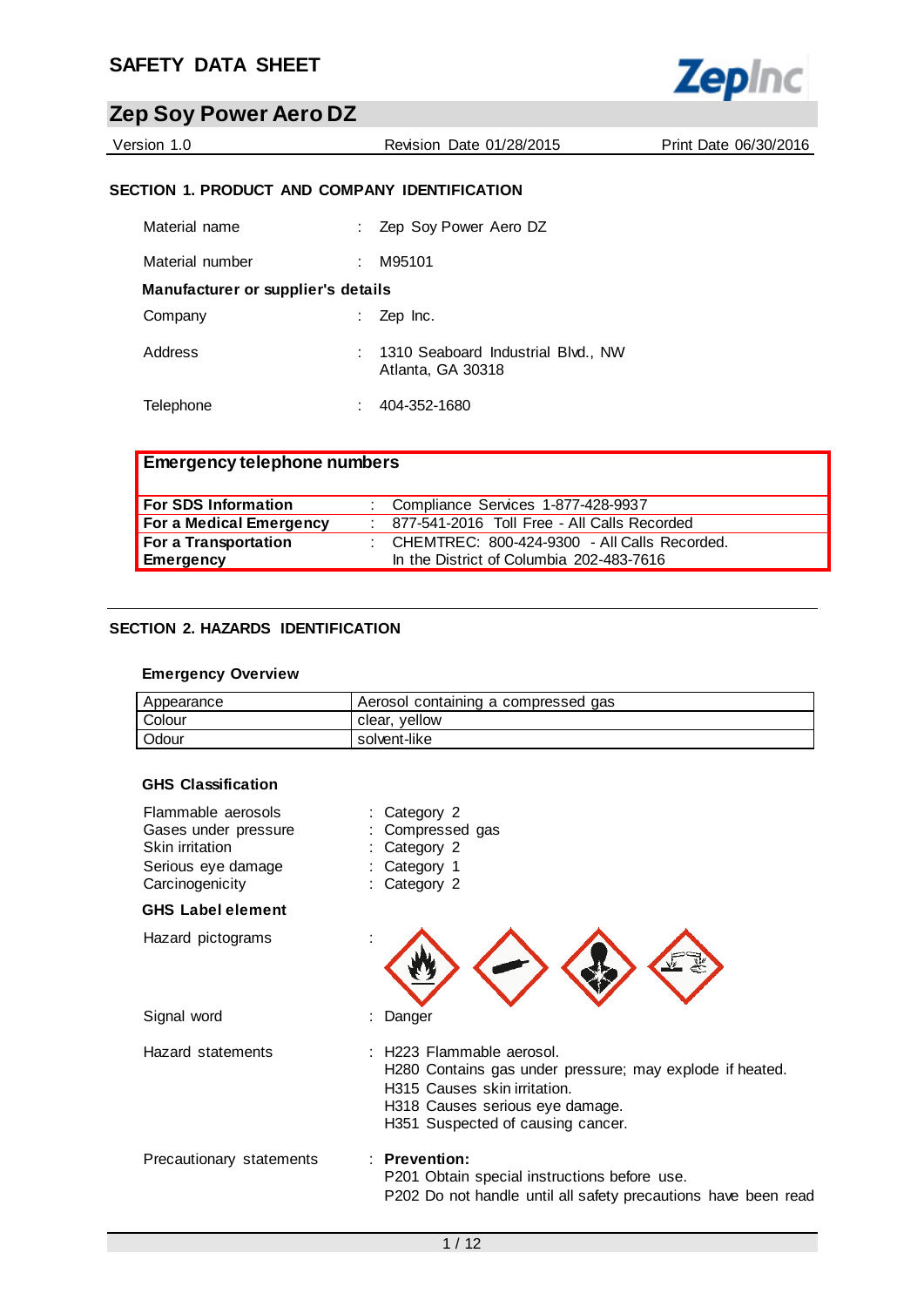

Version 1.0 Revision Date 01/28/2015 Print Date 06/30/2016

## **SECTION 1. PRODUCT AND COMPANY IDENTIFICATION**

| Material name                      | Zep Soy Power Aero DZ                                   |
|------------------------------------|---------------------------------------------------------|
| Material number                    | M95101                                                  |
| Manufacturer or supplier's details |                                                         |
| Company                            | Zep Inc.                                                |
| Address                            | 1310 Seaboard Industrial Blvd., NW<br>Atlanta, GA 30318 |
| Telephone                          | 404-352-1680                                            |

| <b>Emergency telephone numbers</b> |                                                  |
|------------------------------------|--------------------------------------------------|
| <b>For SDS Information</b>         | : Compliance Services 1-877-428-9937             |
| <b>For a Medical Emergency</b>     | : 877-541-2016 Toll Free - All Calls Recorded    |
| For a Transportation               | : CHEMTREC: $800-424-9300$ - All Calls Recorded. |
| Emergency                          | In the District of Columbia 202-483-7616         |

## **SECTION 2. HAZARDS IDENTIFICATION**

#### **Emergency Overview**

| Appearance | Aerosol containing a compressed gas |
|------------|-------------------------------------|
| Colour     | clear, yellow                       |
| Odour      | solvent-like                        |

#### **GHS Classification**

| Flammable aerosols<br>Gases under pressure<br>Skin irritation<br>Serious eye damage<br>Carcinogenicity | : Category 2<br>Compressed gas<br>: Category 2<br>Category 1<br>: Category 2                                                                                                                  |
|--------------------------------------------------------------------------------------------------------|-----------------------------------------------------------------------------------------------------------------------------------------------------------------------------------------------|
| <b>GHS Label element</b>                                                                               |                                                                                                                                                                                               |
| Hazard pictograms                                                                                      |                                                                                                                                                                                               |
| Signal word                                                                                            | Danger                                                                                                                                                                                        |
| Hazard statements                                                                                      | : H223 Flammable aerosol.<br>H280 Contains gas under pressure; may explode if heated.<br>H315 Causes skin irritation.<br>H318 Causes serious eye damage.<br>H351 Suspected of causing cancer. |
| Precautionary statements                                                                               | $\therefore$ Prevention:<br>P201 Obtain special instructions before use.<br>P202 Do not handle until all safety precautions have been read                                                    |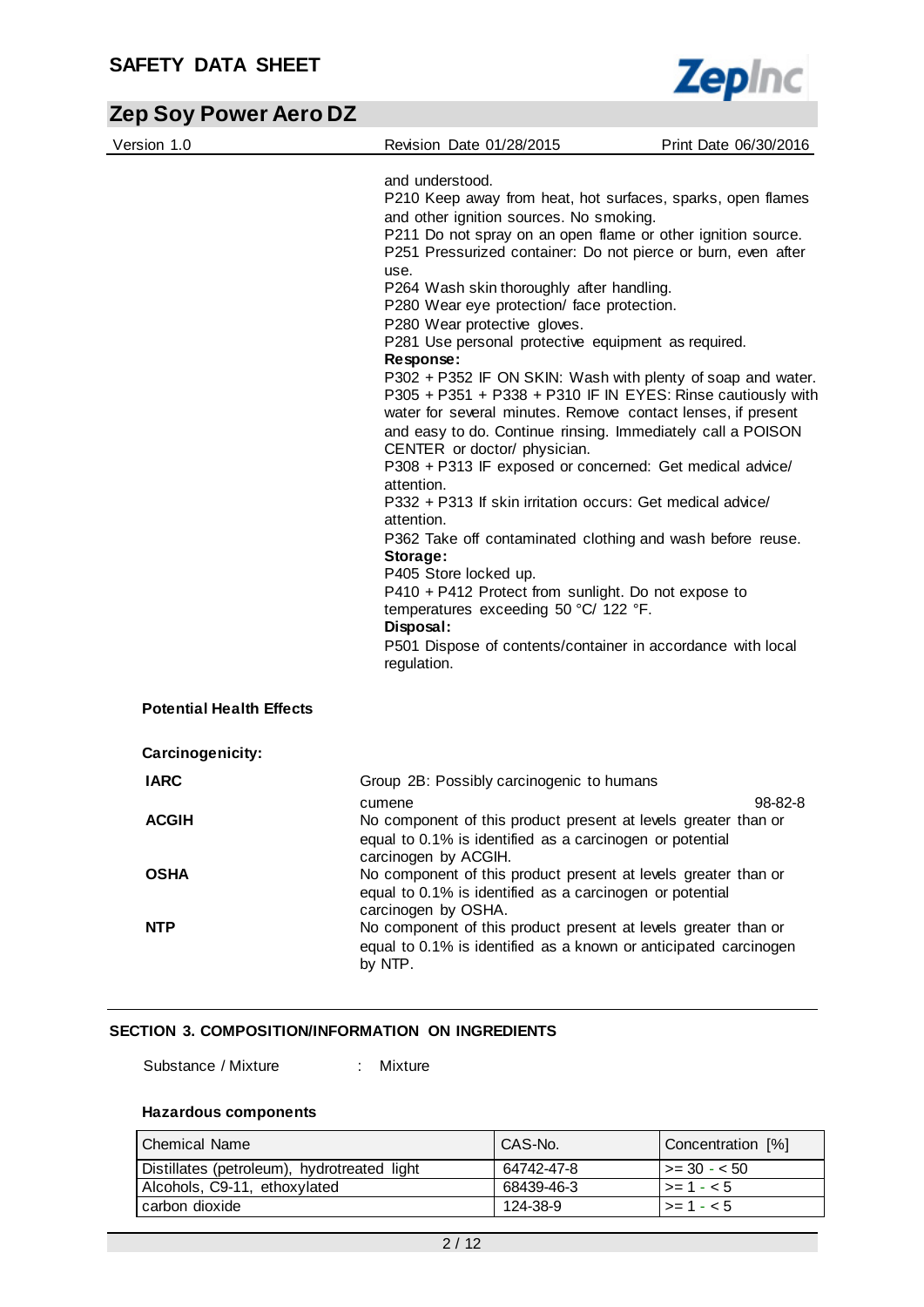

| Version 1.0                     | Revision Date 01/28/2015                                                                                                                                                                                                                                                                                                                              | Print Date 06/30/2016 |
|---------------------------------|-------------------------------------------------------------------------------------------------------------------------------------------------------------------------------------------------------------------------------------------------------------------------------------------------------------------------------------------------------|-----------------------|
|                                 | and understood.<br>P210 Keep away from heat, hot surfaces, sparks, open flames<br>and other ignition sources. No smoking.<br>P211 Do not spray on an open flame or other ignition source.<br>P251 Pressurized container: Do not pierce or burn, even after                                                                                            |                       |
|                                 | use.<br>P264 Wash skin thoroughly after handling.                                                                                                                                                                                                                                                                                                     |                       |
|                                 | P280 Wear eye protection/ face protection.<br>P280 Wear protective gloves.                                                                                                                                                                                                                                                                            |                       |
|                                 | P281 Use personal protective equipment as required.<br>Response:                                                                                                                                                                                                                                                                                      |                       |
|                                 | P302 + P352 IF ON SKIN: Wash with plenty of soap and water.<br>P305 + P351 + P338 + P310 IF IN EYES: Rinse cautiously with<br>water for several minutes. Remove contact lenses, if present<br>and easy to do. Continue rinsing. Immediately call a POISON<br>CENTER or doctor/ physician.<br>P308 + P313 IF exposed or concerned: Get medical advice/ |                       |
|                                 | attention.<br>P332 + P313 If skin irritation occurs: Get medical advice/                                                                                                                                                                                                                                                                              |                       |
|                                 | attention.<br>P362 Take off contaminated clothing and wash before reuse.                                                                                                                                                                                                                                                                              |                       |
|                                 | Storage:<br>P405 Store locked up.                                                                                                                                                                                                                                                                                                                     |                       |
|                                 | P410 + P412 Protect from sunlight. Do not expose to<br>temperatures exceeding 50 °C/ 122 °F.<br>Disposal:                                                                                                                                                                                                                                             |                       |
|                                 | P501 Dispose of contents/container in accordance with local<br>regulation.                                                                                                                                                                                                                                                                            |                       |
| <b>Potential Health Effects</b> |                                                                                                                                                                                                                                                                                                                                                       |                       |
| Carcinogenicity:                |                                                                                                                                                                                                                                                                                                                                                       |                       |
| <b>IARC</b>                     | Group 2B: Possibly carcinogenic to humans                                                                                                                                                                                                                                                                                                             |                       |
| <b>ACGIH</b>                    | cumene<br>No component of this product present at levels greater than or<br>equal to 0.1% is identified as a carcinogen or potential                                                                                                                                                                                                                  | 98-82-8               |
| <b>OSHA</b>                     | carcinogen by ACGIH.<br>No component of this product present at levels greater than or<br>equal to 0.1% is identified as a carcinogen or potential                                                                                                                                                                                                    |                       |
| <b>NTP</b>                      | carcinogen by OSHA.<br>No component of this product present at levels greater than or<br>equal to 0.1% is identified as a known or anticipated carcinogen<br>by NTP.                                                                                                                                                                                  |                       |

## **SECTION 3. COMPOSITION/INFORMATION ON INGREDIENTS**

Substance / Mixture : Mixture

## **Hazardous components**

| l Chemical Name                             | CAS-No.    | Concentration [%]       |
|---------------------------------------------|------------|-------------------------|
| Distillates (petroleum), hydrotreated light | 64742-47-8 | $\vert$ >= 30 - < 50    |
| Alcohols, C9-11, ethoxylated                | 68439-46-3 | $1 > 1 - 5$             |
| carbon dioxide                              | 124-38-9   | $\vert \rangle = 1 - 5$ |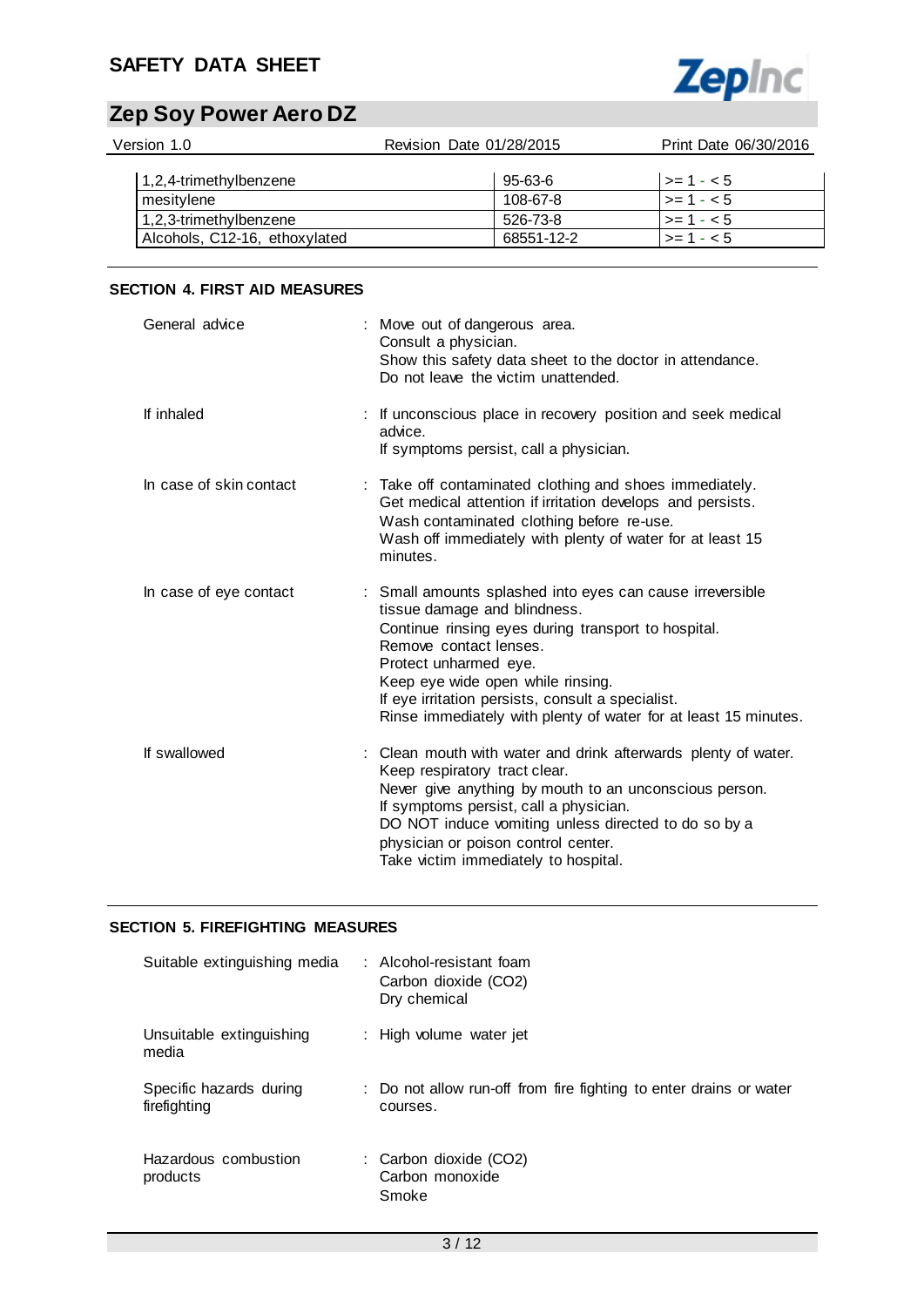## **SAFETY DATA SHEET**



# **Zep Soy Power Aero DZ**

| Revision Date 01/28/2015                    | Print Date 06/30/2016 |
|---------------------------------------------|-----------------------|
| 1,2,4-trimethylbenzene<br>95-63-6           | $\vert$ >= 1 - < 5    |
| 108-67-8                                    | $>= 1 - 5$            |
| 1,2,3-trimethylbenzene<br>526-73-8          | $>= 1 - 5$            |
| Alcohols, C12-16, ethoxylated<br>68551-12-2 | $>= 1 - 5$            |
|                                             |                       |

## **SECTION 4. FIRST AID MEASURES**

| General advice          | : Move out of dangerous area.<br>Consult a physician.<br>Show this safety data sheet to the doctor in attendance.<br>Do not leave the victim unattended.                                                                                                                                                                                                         |
|-------------------------|------------------------------------------------------------------------------------------------------------------------------------------------------------------------------------------------------------------------------------------------------------------------------------------------------------------------------------------------------------------|
| If inhaled              | : If unconscious place in recovery position and seek medical<br>advice.<br>If symptoms persist, call a physician.                                                                                                                                                                                                                                                |
| In case of skin contact | : Take off contaminated clothing and shoes immediately.<br>Get medical attention if irritation develops and persists.<br>Wash contaminated clothing before re-use.<br>Wash off immediately with plenty of water for at least 15<br>minutes.                                                                                                                      |
| In case of eye contact  | : Small amounts splashed into eyes can cause irreversible<br>tissue damage and blindness.<br>Continue rinsing eyes during transport to hospital.<br>Remove contact lenses.<br>Protect unharmed eye.<br>Keep eye wide open while rinsing.<br>If eye irritation persists, consult a specialist.<br>Rinse immediately with plenty of water for at least 15 minutes. |
| If swallowed            | : Clean mouth with water and drink afterwards plenty of water.<br>Keep respiratory tract clear.<br>Never give anything by mouth to an unconscious person.<br>If symptoms persist, call a physician.<br>DO NOT induce vomiting unless directed to do so by a<br>physician or poison control center.<br>Take victim immediately to hospital.                       |

## **SECTION 5. FIREFIGHTING MEASURES**

| Suitable extinguishing media            | : Alcohol-resistant foam<br>Carbon dioxide (CO2)<br>Dry chemical               |
|-----------------------------------------|--------------------------------------------------------------------------------|
| Unsuitable extinguishing<br>media       | : High volume water jet                                                        |
| Specific hazards during<br>firefighting | : Do not allow run-off from fire fighting to enter drains or water<br>courses. |
| Hazardous combustion<br>products        | : Carbon dioxide (CO2)<br>Carbon monoxide<br>Smoke                             |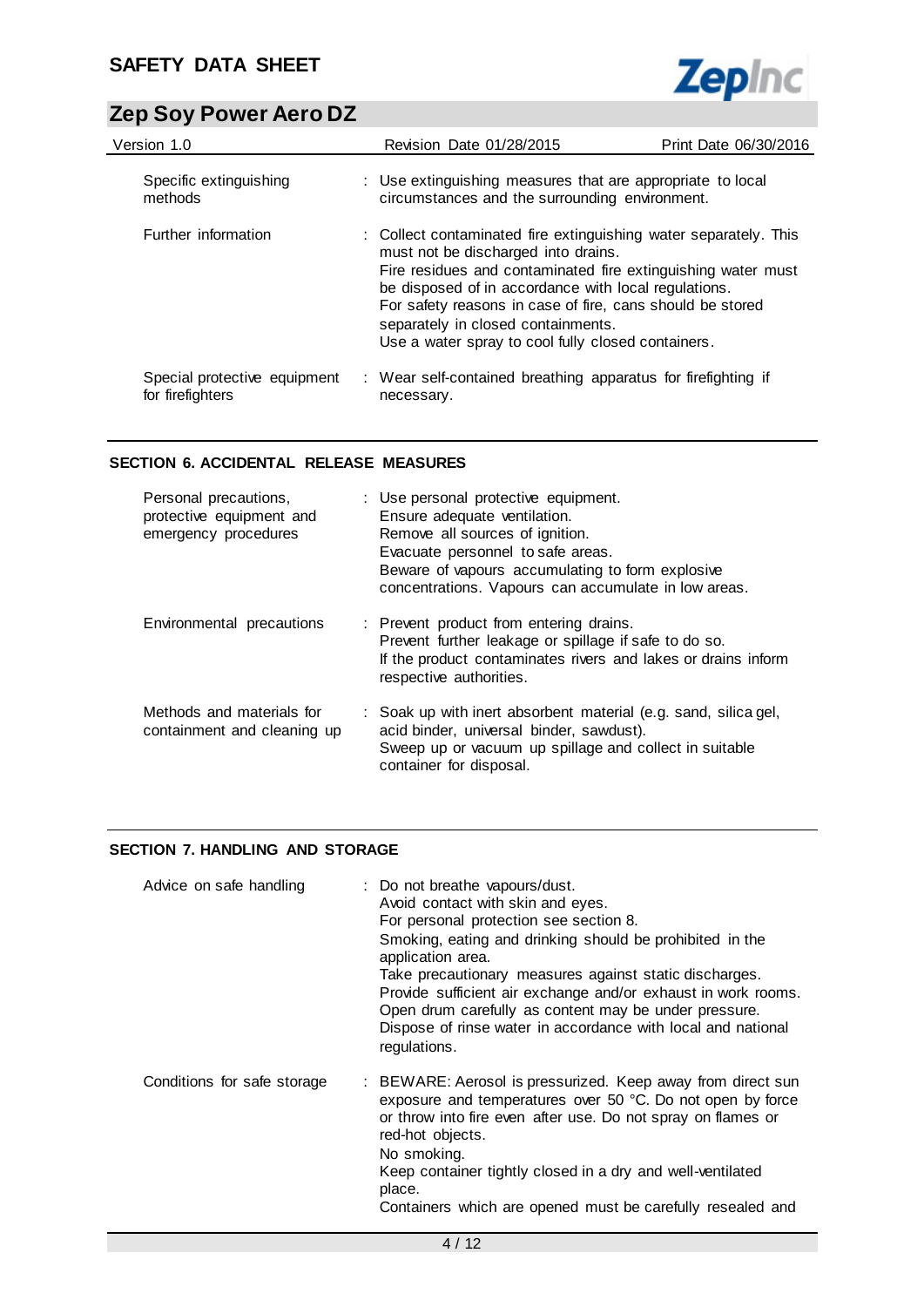

| Version 1.0                                      | Revision Date 01/28/2015                                                                                                                                                                                                                                                                                                                                                                 | Print Date 06/30/2016 |
|--------------------------------------------------|------------------------------------------------------------------------------------------------------------------------------------------------------------------------------------------------------------------------------------------------------------------------------------------------------------------------------------------------------------------------------------------|-----------------------|
| Specific extinguishing<br>methods                | : Use extinguishing measures that are appropriate to local<br>circumstances and the surrounding environment.                                                                                                                                                                                                                                                                             |                       |
| Further information                              | : Collect contaminated fire extinguishing water separately. This<br>must not be discharged into drains.<br>Fire residues and contaminated fire extinguishing water must<br>be disposed of in accordance with local regulations.<br>For safety reasons in case of fire, cans should be stored<br>separately in closed containments.<br>Use a water spray to cool fully closed containers. |                       |
| Special protective equipment<br>for firefighters | : Wear self-contained breathing apparatus for firefighting if<br>necessary.                                                                                                                                                                                                                                                                                                              |                       |

## **SECTION 6. ACCIDENTAL RELEASE MEASURES**

| Personal precautions,<br>protective equipment and<br>emergency procedures | : Use personal protective equipment.<br>Ensure adequate ventilation.<br>Remove all sources of ignition.<br>Evacuate personnel to safe areas.<br>Beware of vapours accumulating to form explosive<br>concentrations. Vapours can accumulate in low areas. |
|---------------------------------------------------------------------------|----------------------------------------------------------------------------------------------------------------------------------------------------------------------------------------------------------------------------------------------------------|
| Environmental precautions                                                 | : Prevent product from entering drains.<br>Prevent further leakage or spillage if safe to do so.<br>If the product contaminates rivers and lakes or drains inform<br>respective authorities.                                                             |
| Methods and materials for<br>containment and cleaning up                  | : Soak up with inert absorbent material (e.g. sand, silica gel,<br>acid binder, universal binder, sawdust).<br>Sweep up or vacuum up spillage and collect in suitable<br>container for disposal.                                                         |

## **SECTION 7. HANDLING AND STORAGE**

| Advice on safe handling     | : Do not breathe vapours/dust.<br>Avoid contact with skin and eyes.<br>For personal protection see section 8.<br>Smoking, eating and drinking should be prohibited in the<br>application area.<br>Take precautionary measures against static discharges.<br>Provide sufficient air exchange and/or exhaust in work rooms.<br>Open drum carefully as content may be under pressure.<br>Dispose of rinse water in accordance with local and national<br>regulations. |
|-----------------------------|--------------------------------------------------------------------------------------------------------------------------------------------------------------------------------------------------------------------------------------------------------------------------------------------------------------------------------------------------------------------------------------------------------------------------------------------------------------------|
| Conditions for safe storage | : BEWARE: Aerosol is pressurized. Keep away from direct sun<br>exposure and temperatures over 50 °C. Do not open by force<br>or throw into fire even after use. Do not spray on flames or<br>red-hot objects.<br>No smoking.<br>Keep container tightly closed in a dry and well-ventilated<br>place.<br>Containers which are opened must be carefully resealed and                                                                                                 |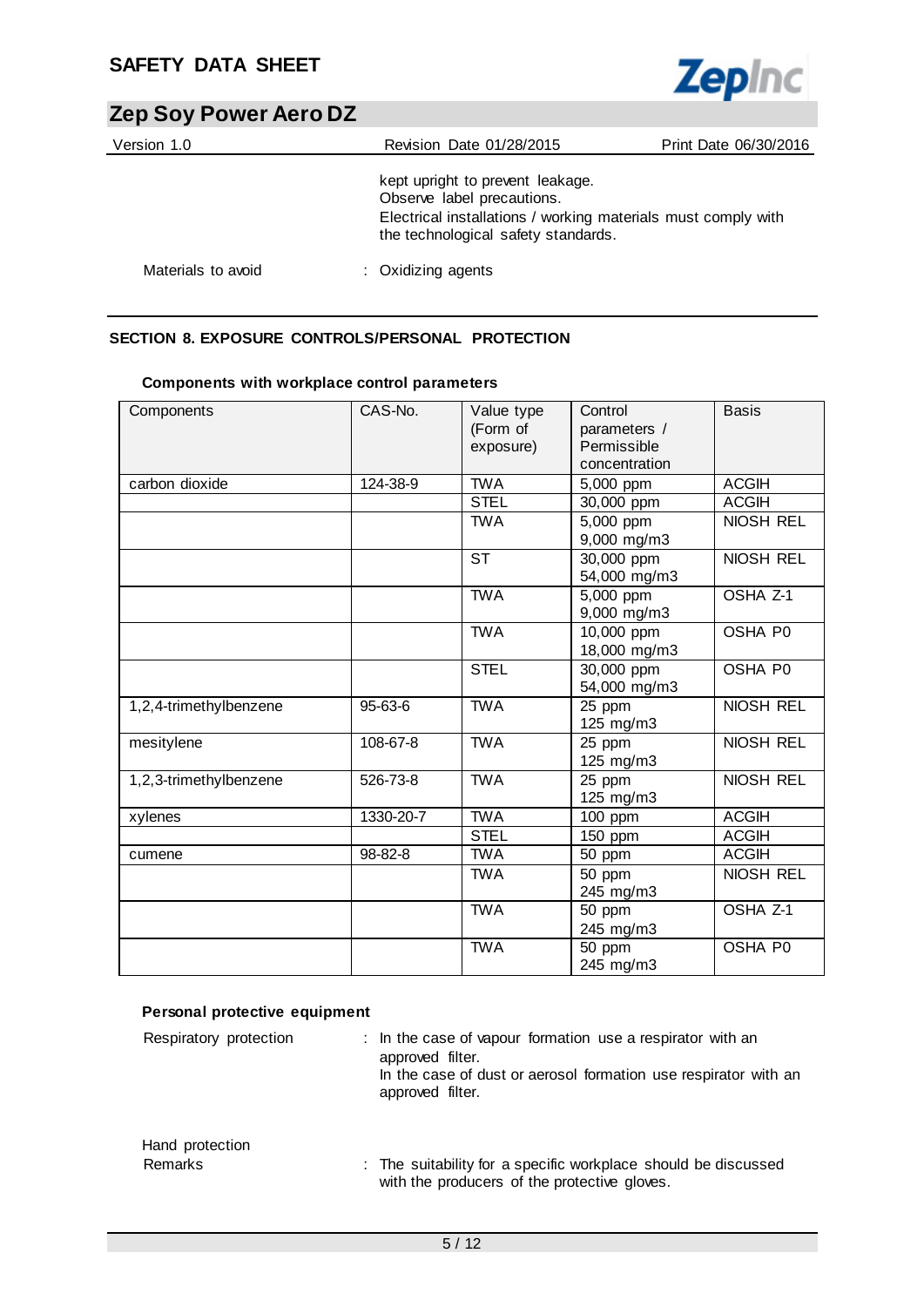

| Version 1.0        | Revision Date 01/28/2015                                                                                                                                               | Print Date 06/30/2016 |
|--------------------|------------------------------------------------------------------------------------------------------------------------------------------------------------------------|-----------------------|
|                    | kept upright to prevent leakage.<br>Observe label precautions.<br>Electrical installations / working materials must comply with<br>the technological safety standards. |                       |
| Materials to avoid | : Oxidizing agents                                                                                                                                                     |                       |

## **SECTION 8. EXPOSURE CONTROLS/PERSONAL PROTECTION**

| Components             | CAS-No.   | Value type<br>(Form of<br>exposure) | Control<br>parameters /<br>Permissible<br>concentration | <b>Basis</b>     |
|------------------------|-----------|-------------------------------------|---------------------------------------------------------|------------------|
| carbon dioxide         | 124-38-9  | <b>TWA</b>                          | 5,000 ppm                                               | <b>ACGIH</b>     |
|                        |           | <b>STEL</b>                         | 30,000 ppm                                              | <b>ACGIH</b>     |
|                        |           | <b>TWA</b>                          | 5,000 ppm<br>9,000 mg/m3                                | <b>NIOSH REL</b> |
|                        |           | <b>ST</b>                           | 30,000 ppm<br>54,000 mg/m3                              | <b>NIOSH REL</b> |
|                        |           | <b>TWA</b>                          | 5,000 ppm<br>9,000 mg/m3                                | OSHA Z-1         |
|                        |           | <b>TWA</b>                          | 10,000 ppm<br>18,000 mg/m3                              | OSHA P0          |
|                        |           | <b>STEL</b>                         | 30,000 ppm<br>54,000 mg/m3                              | OSHA P0          |
| 1,2,4-trimethylbenzene | 95-63-6   | <b>TWA</b>                          | 25 ppm<br>125 mg/m3                                     | NIOSH REL        |
| mesitylene             | 108-67-8  | <b>TWA</b>                          | 25 ppm<br>125 mg/m3                                     | <b>NIOSH REL</b> |
| 1,2,3-trimethylbenzene | 526-73-8  | <b>TWA</b>                          | 25 ppm<br>125 mg/m3                                     | <b>NIOSH REL</b> |
| xylenes                | 1330-20-7 | <b>TWA</b>                          | 100 ppm                                                 | <b>ACGIH</b>     |
|                        |           | <b>STEL</b>                         | 150 ppm                                                 | <b>ACGIH</b>     |
| cumene                 | 98-82-8   | <b>TWA</b>                          | 50 ppm                                                  | <b>ACGIH</b>     |
|                        |           | <b>TWA</b>                          | 50 ppm<br>245 mg/m3                                     | NIOSH REL        |
|                        |           | <b>TWA</b>                          | 50 ppm<br>245 mg/m3                                     | OSHA Z-1         |
|                        |           | <b>TWA</b>                          | 50 ppm<br>245 mg/m3                                     | OSHA P0          |

## **Components with workplace control parameters**

|  |  | Personal protective equipment |
|--|--|-------------------------------|
|--|--|-------------------------------|

| Respiratory protection     | : In the case of vapour formation use a respirator with an<br>approved filter.<br>In the case of dust or aerosol formation use respirator with an<br>approved filter. |
|----------------------------|-----------------------------------------------------------------------------------------------------------------------------------------------------------------------|
| Hand protection<br>Remarks | : The suitability for a specific workplace should be discussed<br>with the producers of the protective gloves.                                                        |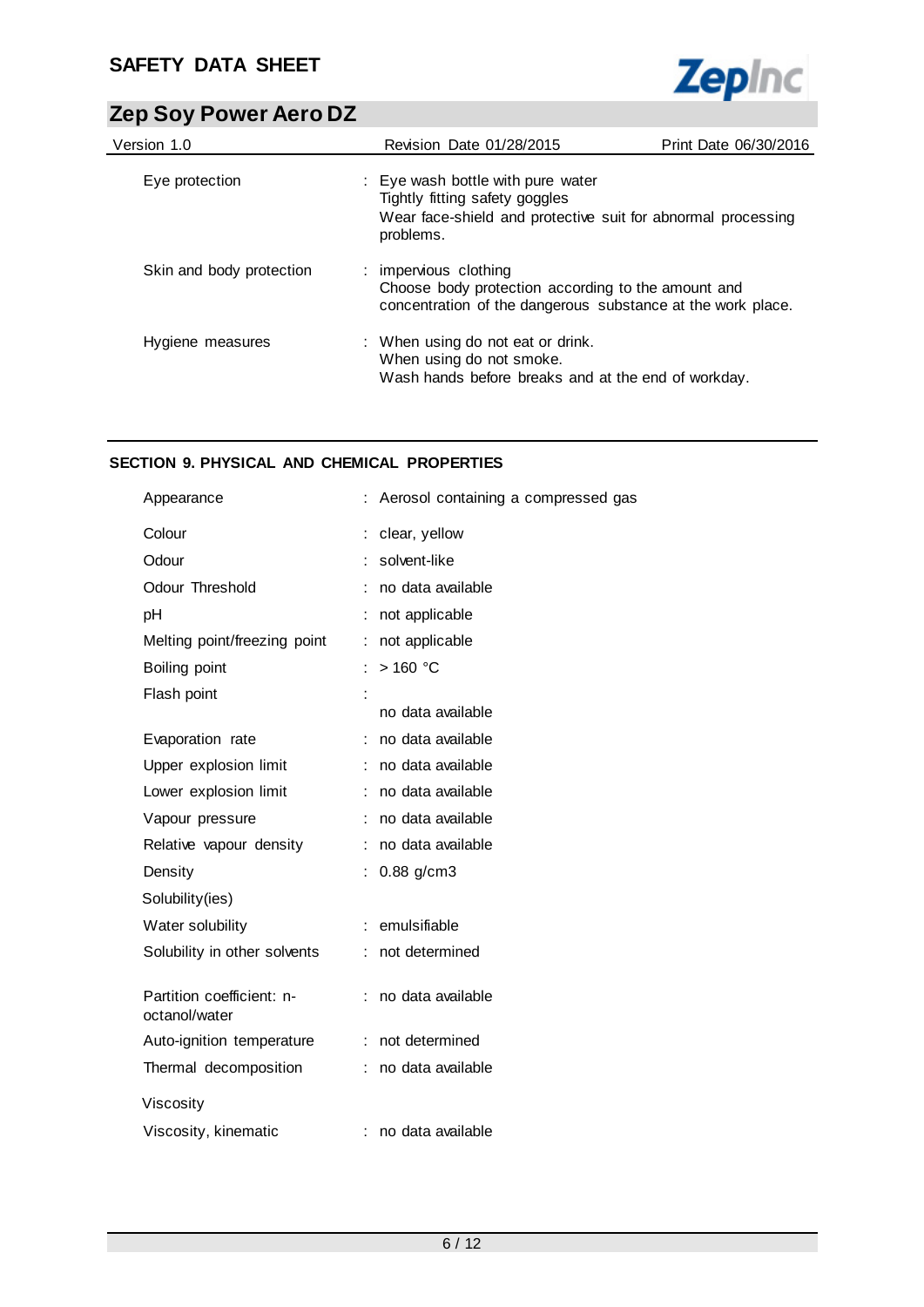

| Version 1.0              | Revision Date 01/28/2015                                                                                                                         | Print Date 06/30/2016 |
|--------------------------|--------------------------------------------------------------------------------------------------------------------------------------------------|-----------------------|
| Eye protection           | : Eye wash bottle with pure water<br>Tightly fitting safety goggles<br>Wear face-shield and protective suit for abnormal processing<br>problems. |                       |
| Skin and body protection | : impervious clothing<br>Choose body protection according to the amount and<br>concentration of the dangerous substance at the work place.       |                       |
| Hygiene measures         | : When using do not eat or drink.<br>When using do not smoke.<br>Wash hands before breaks and at the end of workday.                             |                       |

## **SECTION 9. PHYSICAL AND CHEMICAL PROPERTIES**

| Appearance                                 | Aerosol containing a compressed gas |
|--------------------------------------------|-------------------------------------|
| Colour                                     | clear, yellow                       |
| Odour                                      | solvent-like                        |
| Odour Threshold                            | no data available                   |
| pH                                         | not applicable                      |
| Melting point/freezing point               | not applicable<br>÷                 |
| Boiling point                              | $>160$ °C                           |
| Flash point                                |                                     |
|                                            | no data available                   |
| Evaporation rate                           | no data available                   |
| Upper explosion limit                      | no data available<br>÷.             |
| Lower explosion limit                      | no data available<br>÷.             |
| Vapour pressure                            | no data available                   |
| Relative vapour density                    | no data available                   |
| Density                                    | $0.88$ g/cm3                        |
| Solubility(ies)                            |                                     |
| Water solubility                           | emulsifiable                        |
| Solubility in other solvents               | not determined                      |
|                                            |                                     |
| Partition coefficient: n-<br>octanol/water | no data available                   |
| Auto-ignition temperature                  | not determined<br>÷                 |
| Thermal decomposition                      | no data available<br>÷.             |
| Viscosity                                  |                                     |
| Viscosity, kinematic                       | no data available                   |
|                                            |                                     |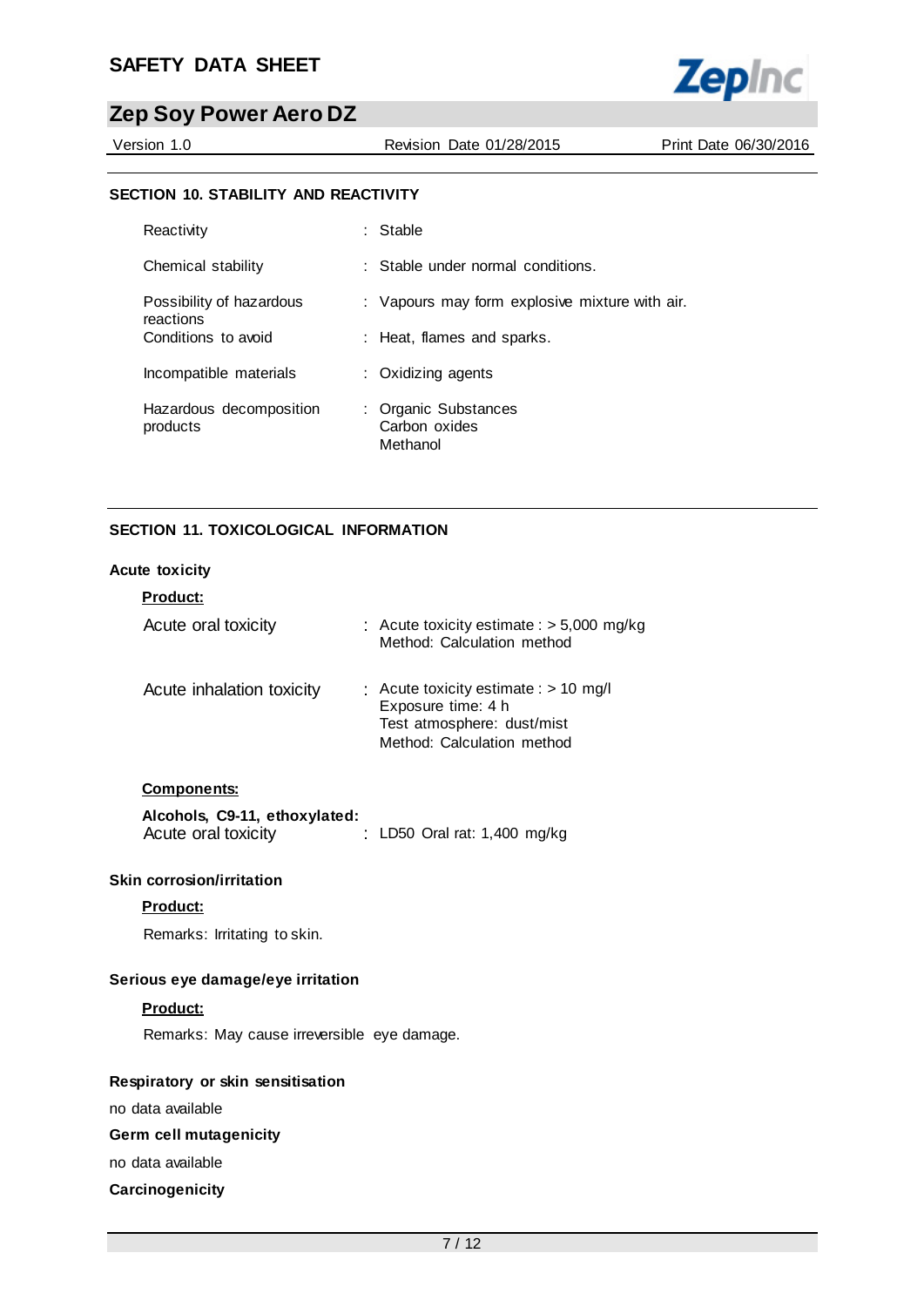

Version 1.0 Revision Date 01/28/2015 Print Date 06/30/2016

#### **SECTION 10. STABILITY AND REACTIVITY**

| Reactivity                            | $:$ Stable                                        |
|---------------------------------------|---------------------------------------------------|
| Chemical stability                    | : Stable under normal conditions.                 |
| Possibility of hazardous<br>reactions | : Vapours may form explosive mixture with air.    |
| Conditions to avoid                   | : Heat, flames and sparks.                        |
| Incompatible materials                | : Oxidizing agents                                |
| Hazardous decomposition<br>products   | : Organic Substances<br>Carbon oxides<br>Methanol |

## **SECTION 11. TOXICOLOGICAL INFORMATION**

#### **Acute toxicity**

| <b>Product:</b>           |                                                                                                                           |
|---------------------------|---------------------------------------------------------------------------------------------------------------------------|
| Acute oral toxicity       | : Acute toxicity estimate : $>$ 5,000 mg/kg<br>Method: Calculation method                                                 |
| Acute inhalation toxicity | : Acute toxicity estimate : $> 10$ mg/l<br>Exposure time: 4 h<br>Test atmosphere: dust/mist<br>Method: Calculation method |

#### **Components:**

| Alcohols, C9-11, ethoxylated: |                                |  |
|-------------------------------|--------------------------------|--|
| Acute oral toxicity           | : LD50 Oral rat: $1,400$ mg/kg |  |

#### **Skin corrosion/irritation**

## **Product:**

Remarks: Irritating to skin.

#### **Serious eye damage/eye irritation**

#### **Product:**

Remarks: May cause irreversible eye damage.

#### **Respiratory or skin sensitisation**

no data available

## **Germ cell mutagenicity**

no data available

#### **Carcinogenicity**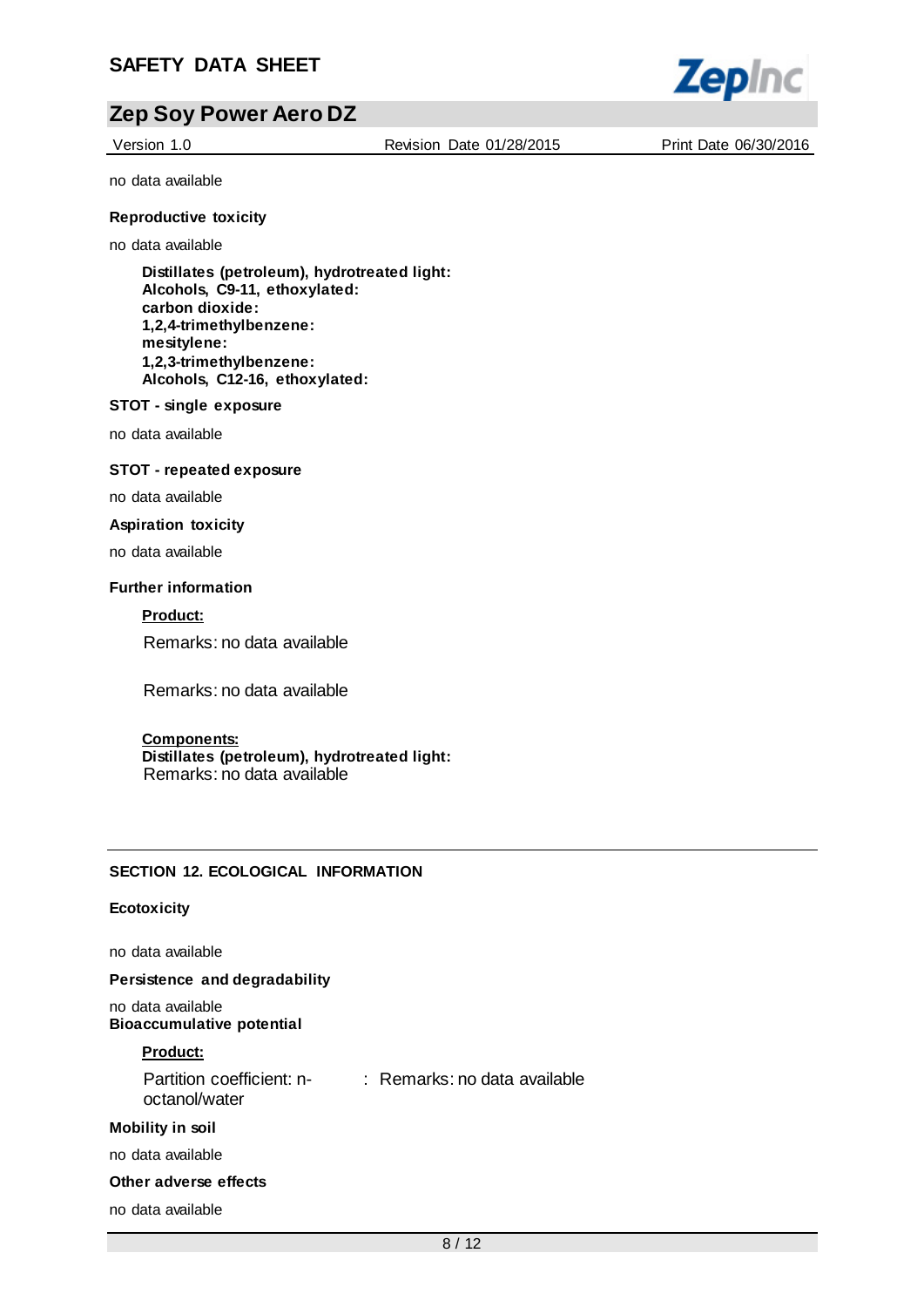

Version 1.0 Revision Date 01/28/2015 Print Date 06/30/2016

no data available

#### **Reproductive toxicity**

no data available

**Distillates (petroleum), hydrotreated light: Alcohols, C9-11, ethoxylated: carbon dioxide: 1,2,4-trimethylbenzene: mesitylene: 1,2,3-trimethylbenzene: Alcohols, C12-16, ethoxylated:**

#### **STOT - single exposure**

no data available

#### **STOT - repeated exposure**

no data available

#### **Aspiration toxicity**

no data available

#### **Further information**

**Product:**

Remarks: no data available

Remarks: no data available

#### **Components:**

**Distillates (petroleum), hydrotreated light:** Remarks: no data available

#### **SECTION 12. ECOLOGICAL INFORMATION**

#### **Ecotoxicity**

no data available

**Persistence and degradability**

no data available **Bioaccumulative potential**

#### **Product:**

Partition coefficient: n-: Remarks: no data available octanol/water

#### **Mobility in soil**

no data available

### **Other adverse effects**

no data available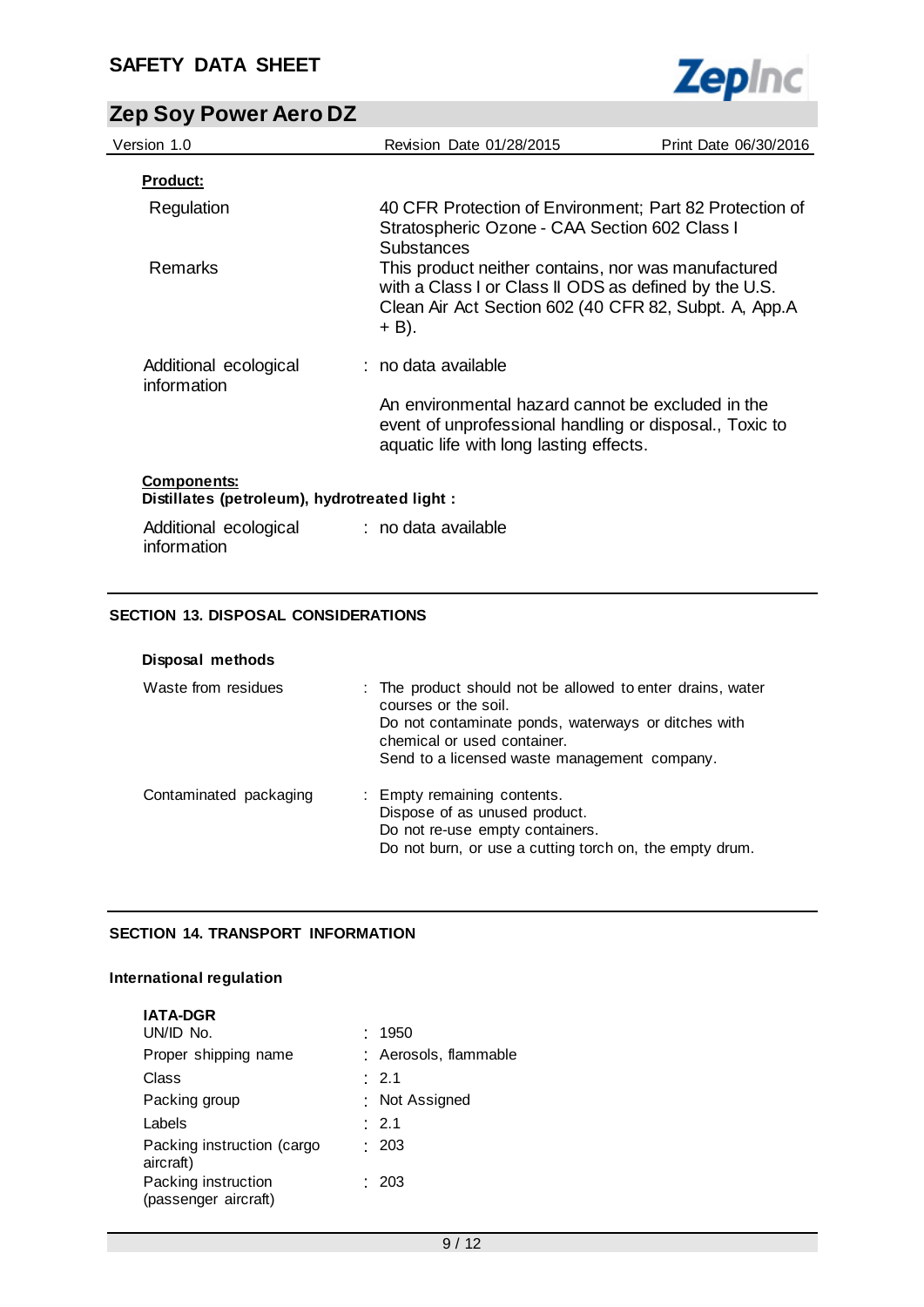

| Version 1.0                                                        | Revision Date 01/28/2015                                                                                                                                                       | Print Date 06/30/2016 |
|--------------------------------------------------------------------|--------------------------------------------------------------------------------------------------------------------------------------------------------------------------------|-----------------------|
| <u>Product:</u>                                                    |                                                                                                                                                                                |                       |
| Regulation                                                         | 40 CFR Protection of Environment; Part 82 Protection of<br>Stratospheric Ozone - CAA Section 602 Class I<br><b>Substances</b>                                                  |                       |
| <b>Remarks</b>                                                     | This product neither contains, nor was manufactured<br>with a Class I or Class II ODS as defined by the U.S.<br>Clean Air Act Section 602 (40 CFR 82, Subpt. A, App.A<br>+ B). |                       |
| Additional ecological                                              | : no data available                                                                                                                                                            |                       |
| information                                                        | An environmental hazard cannot be excluded in the<br>event of unprofessional handling or disposal., Toxic to<br>aquatic life with long lasting effects.                        |                       |
| <b>Components:</b><br>Distillates (petroleum), hydrotreated light: |                                                                                                                                                                                |                       |
| Additional ecological                                              | : no data available                                                                                                                                                            |                       |

## **SECTION 13. DISPOSAL CONSIDERATIONS**

information

| Disposal methods       |                                                                                                                                                                                                                          |
|------------------------|--------------------------------------------------------------------------------------------------------------------------------------------------------------------------------------------------------------------------|
| Waste from residues    | : The product should not be allowed to enter drains, water<br>courses or the soil.<br>Do not contaminate ponds, waterways or ditches with<br>chemical or used container.<br>Send to a licensed waste management company. |
| Contaminated packaging | : Empty remaining contents.<br>Dispose of as unused product.<br>Do not re-use empty containers.<br>Do not burn, or use a cutting torch on, the empty drum.                                                               |

## **SECTION 14. TRANSPORT INFORMATION**

## **International regulation**

| <b>IATA-DGR</b>                             |                       |
|---------------------------------------------|-----------------------|
| UN/ID No.                                   | 1950                  |
| Proper shipping name                        | : Aerosols, flammable |
| Class                                       | $\therefore$ 2.1      |
| Packing group                               | : Not Assigned        |
| Labels                                      | : 2.1                 |
| Packing instruction (cargo<br>aircraft)     | : 203                 |
| Packing instruction<br>(passenger aircraft) | : 203                 |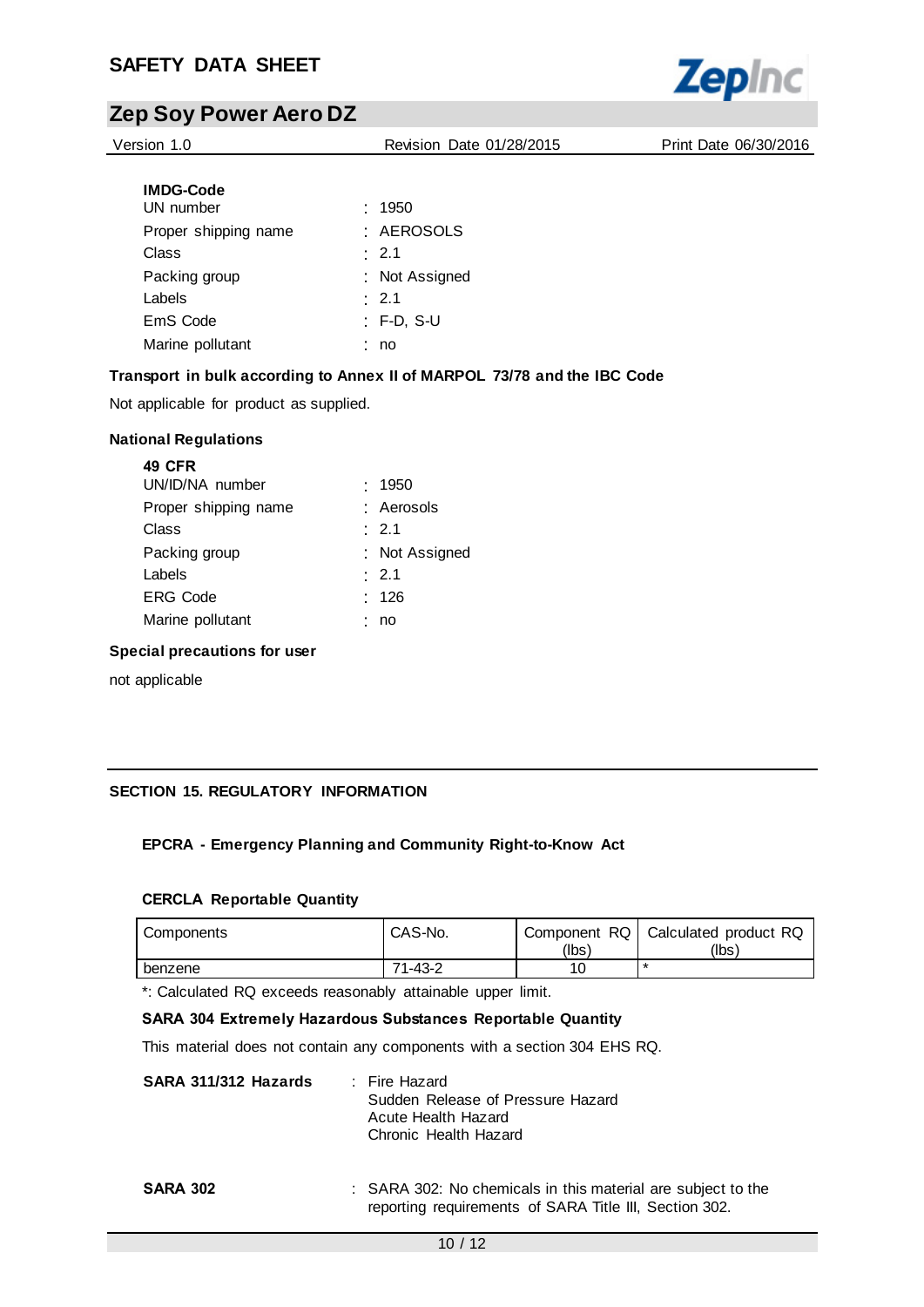

Version 1.0 Revision Date 01/28/2015 Print Date 06/30/2016

| <b>IMDG-Code</b>     |             |                |
|----------------------|-------------|----------------|
| UN number            | .1950       |                |
| Proper shipping name |             | · AEROSOLS     |
| Class                | $\cdot$ 2.1 |                |
| Packing group        |             | : Not Assigned |
| Labels               | $\cdot$ 2.1 |                |
| EmS Code             |             | : F-D, S-U     |
| Marine pollutant     | no          |                |

## **Transport in bulk according to Annex II of MARPOL 73/78 and the IBC Code**

Not applicable for product as supplied.

#### **National Regulations**

| : Aerosols     |
|----------------|
|                |
| : Not Assigned |
|                |
|                |
|                |
|                |

#### **Special precautions for user**

not applicable

## **SECTION 15. REGULATORY INFORMATION**

## **EPCRA - Emergency Planning and Community Right-to-Know Act**

#### **CERCLA Reportable Quantity**

| Components | CAS-No. | Component RQ  <br>(lbs) | Calculated product RQ<br>(lbs) |
|------------|---------|-------------------------|--------------------------------|
| benzene    | 71-43-2 |                         |                                |

\*: Calculated RQ exceeds reasonably attainable upper limit.

#### **SARA 304 Extremely Hazardous Substances Reportable Quantity**

This material does not contain any components with a section 304 EHS RQ.

| SARA 311/312 Hazards | : Fire Hazard                     |
|----------------------|-----------------------------------|
|                      | Sudden Release of Pressure Hazard |
|                      | Acute Health Hazard               |
|                      | Chronic Health Hazard             |
|                      |                                   |

#### **SARA 302** : SARA 302: No chemicals in this material are subject to the reporting requirements of SARA Title III, Section 302.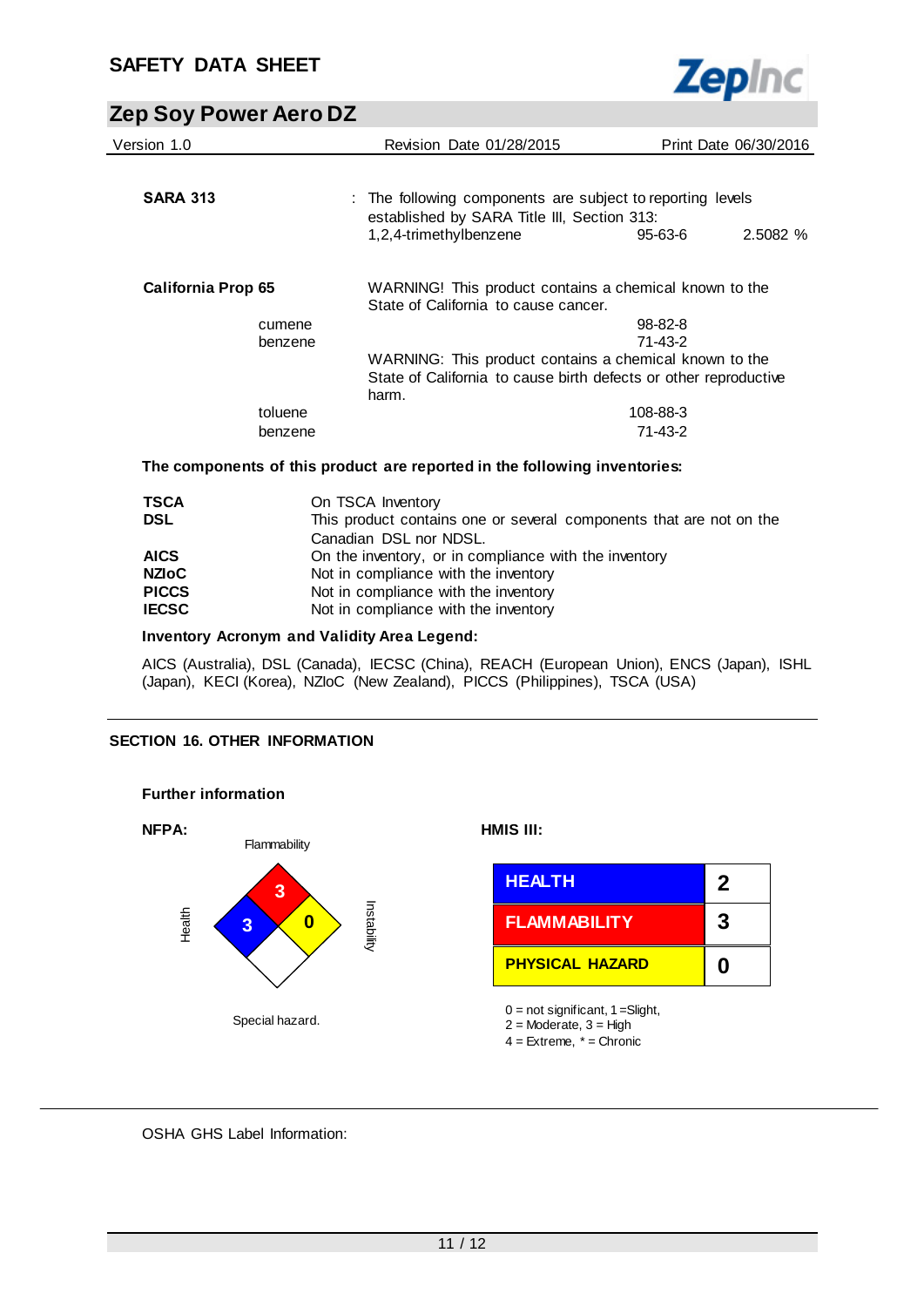

| Version 1.0               | <b>Revision Date 01/28/2015</b>                                                                           |               | Print Date 06/30/2016 |
|---------------------------|-----------------------------------------------------------------------------------------------------------|---------------|-----------------------|
| <b>SARA 313</b>           | : The following components are subject to reporting levels<br>established by SARA Title III, Section 313: |               |                       |
|                           | 1,2,4-trimethylbenzene                                                                                    | $95 - 63 - 6$ | 2.5082 %              |
| <b>California Prop 65</b> | WARNING! This product contains a chemical known to the<br>State of California to cause cancer.            |               |                       |
| cumene                    |                                                                                                           | $98 - 82 - 8$ |                       |
| benzene                   |                                                                                                           | 71-43-2       |                       |
|                           | WARNING: This product contains a chemical known to the                                                    |               |                       |
|                           | State of California to cause birth defects or other reproductive<br>harm.                                 |               |                       |
| toluene                   |                                                                                                           | 108-88-3      |                       |
| benzene                   |                                                                                                           | 71-43-2       |                       |
|                           | The components of this product are reported in the following inventories:                                 |               |                       |

| <b>TSCA</b><br><b>DSL</b> | On TSCA Inventory<br>This product contains one or several components that are not on the |
|---------------------------|------------------------------------------------------------------------------------------|
|                           | Canadian DSL nor NDSL.                                                                   |
| <b>AICS</b>               | On the inventory, or in compliance with the inventory                                    |
| <b>NZIoC</b>              | Not in compliance with the inventory                                                     |
| <b>PICCS</b>              | Not in compliance with the inventory                                                     |
| <b>IECSC</b>              | Not in compliance with the inventory                                                     |

### **Inventory Acronym and Validity Area Legend:**

AICS (Australia), DSL (Canada), IECSC (China), REACH (European Union), ENCS (Japan), ISHL (Japan), KECI (Korea), NZIoC (New Zealand), PICCS (Philippines), TSCA (USA)

## **SECTION 16. OTHER INFORMATION**



## OSHA GHS Label Information: